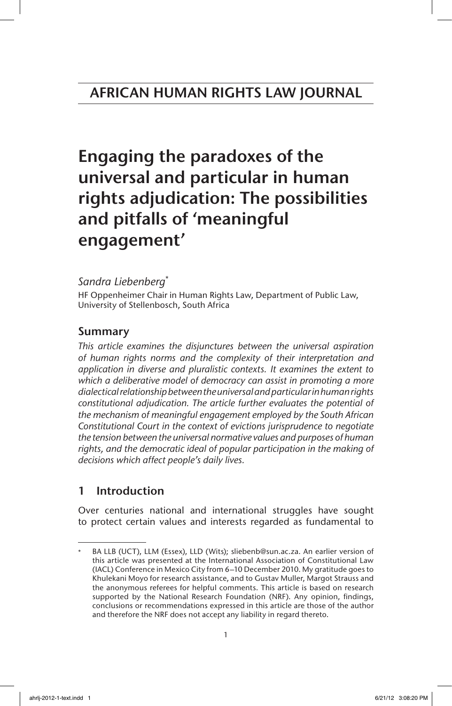# AFRICAN HUMAN RIGHTS LAW JOURNAL

# Engaging the paradoxes of the universal and particular in human rights adjudication: The possibilities and pitfalls of 'meaningful engagement'

# *Sandra Liebenberg*\*

HF Oppenheimer Chair in Human Rights Law, Department of Public Law, University of Stellenbosch, South Africa

# Summary

*This article examines the disjunctures between the universal aspiration of human rights norms and the complexity of their interpretation and application in diverse and pluralistic contexts. It examines the extent to which a deliberative model of democracy can assist in promoting a more dialectical relationship between the universal and particular in human rights constitutional adjudication. The article further evaluates the potential of the mechanism of meaningful engagement employed by the South African Constitutional Court in the context of evictions jurisprudence to negotiate the tension between the universal normative values and purposes of human*  rights, and the democratic ideal of popular participation in the making of *decisions which affect people's daily lives.*

# 1 Introduction

Over centuries national and international struggles have sought to protect certain values and interests regarded as fundamental to

BA LLB (UCT), LLM (Essex), LLD (Wits); sliebenb@sun.ac.za. An earlier version of this article was presented at the International Association of Constitutional Law (IACL) Conference in Mexico City from 6–10 December 2010. My gratitude goes to Khulekani Moyo for research assistance, and to Gustav Muller, Margot Strauss and the anonymous referees for helpful comments. This article is based on research supported by the National Research Foundation (NRF). Any opinion, findings, conclusions or recommendations expressed in this article are those of the author and therefore the NRF does not accept any liability in regard thereto.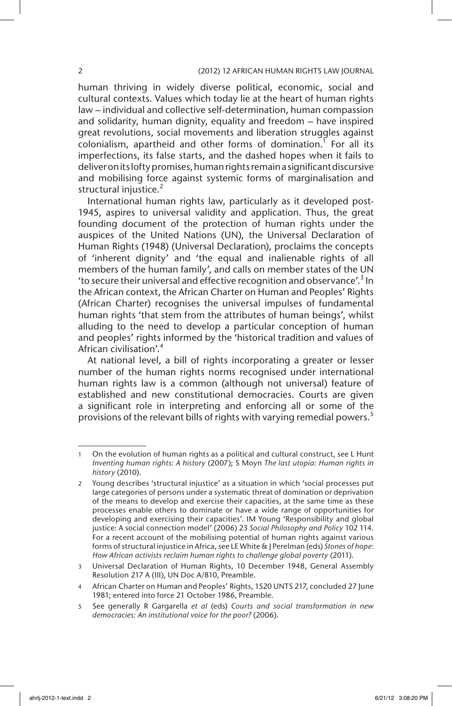human thriving in widely diverse political, economic, social and cultural contexts. Values which today lie at the heart of human rights law – individual and collective self-determination, human compassion and solidarity, human dignity, equality and freedom – have inspired great revolutions, social movements and liberation struggles against  $colonialism$ , apartheid and other forms of domination.<sup>1</sup> For all its imperfections, its false starts, and the dashed hopes when it fails to deliver on its lofty promises, human rights remain a significant discursive and mobilising force against systemic forms of marginalisation and structural injustice.<sup>2</sup>

International human rights law, particularly as it developed post-1945, aspires to universal validity and application. Thus, the great founding document of the protection of human rights under the auspices of the United Nations (UN), the Universal Declaration of Human Rights (1948) (Universal Declaration), proclaims the concepts of 'inherent dignity' and 'the equal and inalienable rights of all members of the human family', and calls on member states of the UN 'to secure their universal and effective recognition and observance'.<sup>3</sup> In the African context, the African Charter on Human and Peoples' Rights (African Charter) recognises the universal impulses of fundamental human rights 'that stem from the attributes of human beings', whilst alluding to the need to develop a particular conception of human and peoples' rights informed by the 'historical tradition and values of African civilisation'.<sup>4</sup>

At national level, a bill of rights incorporating a greater or lesser number of the human rights norms recognised under international human rights law is a common (although not universal) feature of established and new constitutional democracies. Courts are given a significant role in interpreting and enforcing all or some of the provisions of the relevant bills of rights with varying remedial powers.<sup>5</sup>

<sup>1</sup> On the evolution of human rights as a political and cultural construct, see L Hunt *Inventing human rights: A history* (2007); S Moyn *The last utopia: Human rights in history* (2010).

<sup>2</sup> Young describes 'structural injustice' as a situation in which 'social processes put large categories of persons under a systematic threat of domination or deprivation of the means to develop and exercise their capacities, at the same time as these processes enable others to dominate or have a wide range of opportunities for developing and exercising their capacities'. IM Young 'Responsibility and global justice: A social connection model' (2006) 23 *Social Philosophy and Policy* 102 114. For a recent account of the mobilising potential of human rights against various forms of structural injustice in Africa, see LE White & J Perelman (eds) *Stones of hope: How African activists reclaim human rights to challenge global poverty* (2011).

<sup>3</sup> Universal Declaration of Human Rights, 10 December 1948, General Assembly Resolution 217 A (III), UN Doc A/810, Preamble.

<sup>4</sup> African Charter on Human and Peoples' Rights, 1520 UNTS 217, concluded 27 June 1981; entered into force 21 October 1986, Preamble.

<sup>5</sup> See generally R Gargarella *et al* (eds) *Courts and social transformation in new democracies: An institutional voice for the poor?* (2006).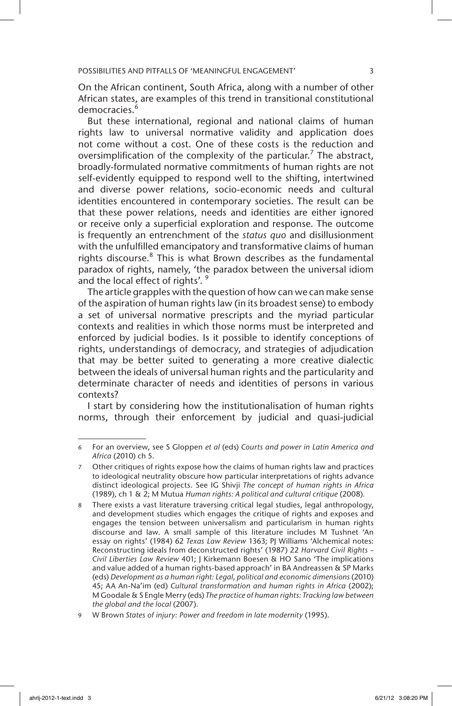On the African continent, South Africa, along with a number of other African states, are examples of this trend in transitional constitutional democracies.<sup>6</sup>

But these international, regional and national claims of human rights law to universal normative validity and application does not come without a cost. One of these costs is the reduction and oversimplification of the complexity of the particular.<sup>7</sup> The abstract, broadly-formulated normative commitments of human rights are not self-evidently equipped to respond well to the shifting, intertwined and diverse power relations, socio-economic needs and cultural identities encountered in contemporary societies. The result can be that these power relations, needs and identities are either ignored or receive only a superficial exploration and response. The outcome is frequently an entrenchment of the *status quo* and disillusionment with the unfulfilled emancipatory and transformative claims of human rights discourse.<sup>8</sup> This is what Brown describes as the fundamental paradox of rights, namely, 'the paradox between the universal idiom and the local effect of rights'.<sup>9</sup>

The article grapples with the question of how can we can make sense of the aspiration of human rights law (in its broadest sense) to embody a set of universal normative prescripts and the myriad particular contexts and realities in which those norms must be interpreted and enforced by judicial bodies. Is it possible to identify conceptions of rights, understandings of democracy, and strategies of adjudication that may be better suited to generating a more creative dialectic between the ideals of universal human rights and the particularity and determinate character of needs and identities of persons in various contexts?

I start by considering how the institutionalisation of human rights norms, through their enforcement by judicial and quasi-judicial

<sup>6</sup> For an overview, see S Gloppen *et al* (eds) *Courts and power in Latin America and Africa* (2010) ch 5.

<sup>7</sup> Other critiques of rights expose how the claims of human rights law and practices to ideological neutrality obscure how particular interpretations of rights advance distinct ideological projects. See IG Shivji *The concept of human rights in Africa*  (1989), ch 1 & 2; M Mutua *Human rights: A political and cultural critique* (2008)*.* 

<sup>8</sup> There exists a vast literature traversing critical legal studies, legal anthropology, and development studies which engages the critique of rights and exposes and engages the tension between universalism and particularism in human rights discourse and law. A small sample of this literature includes M Tushnet 'An essay on rights' (1984) 62 *Texas Law Review* 1363; PJ Williams 'Alchemical notes: Reconstructing ideals from deconstructed rights' (1987) 22 *Harvard Civil Rights – Civil Liberties Law Review* 401; J Kirkemann Boesen & HO Sano 'The implications and value added of a human rights-based approach' in BA Andreassen & SP Marks (eds) *Development as a human right: Legal, political and economic dimensions* (2010) 45; AA An-Na'im (ed) *Cultural transformation and human rights in Africa* (2002); M Goodale & S Engle Merry (eds) *The practice of human rights: Tracking law between the global and the local* (2007).

<sup>9</sup> W Brown *States of injury: Power and freedom in late modernity* (1995).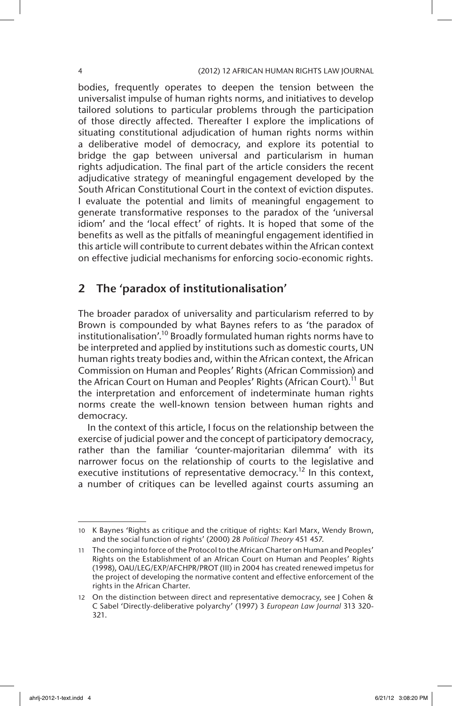bodies, frequently operates to deepen the tension between the universalist impulse of human rights norms, and initiatives to develop tailored solutions to particular problems through the participation of those directly affected. Thereafter I explore the implications of situating constitutional adjudication of human rights norms within a deliberative model of democracy, and explore its potential to bridge the gap between universal and particularism in human rights adjudication. The final part of the article considers the recent adjudicative strategy of meaningful engagement developed by the South African Constitutional Court in the context of eviction disputes. I evaluate the potential and limits of meaningful engagement to generate transformative responses to the paradox of the 'universal idiom' and the 'local effect' of rights. It is hoped that some of the benefits as well as the pitfalls of meaningful engagement identified in this article will contribute to current debates within the African context on effective judicial mechanisms for enforcing socio-economic rights.

# 2 The 'paradox of institutionalisation'

The broader paradox of universality and particularism referred to by Brown is compounded by what Baynes refers to as 'the paradox of institutionalisation'.10 Broadly formulated human rights norms have to be interpreted and applied by institutions such as domestic courts, UN human rights treaty bodies and, within the African context, the African Commission on Human and Peoples' Rights (African Commission) and the African Court on Human and Peoples' Rights (African Court).<sup>11</sup> But the interpretation and enforcement of indeterminate human rights norms create the well-known tension between human rights and democracy.

In the context of this article, I focus on the relationship between the exercise of judicial power and the concept of participatory democracy, rather than the familiar 'counter-majoritarian dilemma' with its narrower focus on the relationship of courts to the legislative and executive institutions of representative democracy.<sup>12</sup> In this context, a number of critiques can be levelled against courts assuming an

<sup>10</sup> K Baynes 'Rights as critique and the critique of rights: Karl Marx, Wendy Brown, and the social function of rights' (2000) 28 *Political Theory* 451 457.

<sup>11</sup> The coming into force of the Protocol to the African Charter on Human and Peoples' Rights on the Establishment of an African Court on Human and Peoples' Rights (1998), OAU/LEG/EXP/AFCHPR/PROT (III) in 2004 has created renewed impetus for the project of developing the normative content and effective enforcement of the rights in the African Charter.

<sup>12</sup> On the distinction between direct and representative democracy, see J Cohen & C Sabel 'Directly-deliberative polyarchy' (1997) 3 *European Law Journal* 313 320- 321.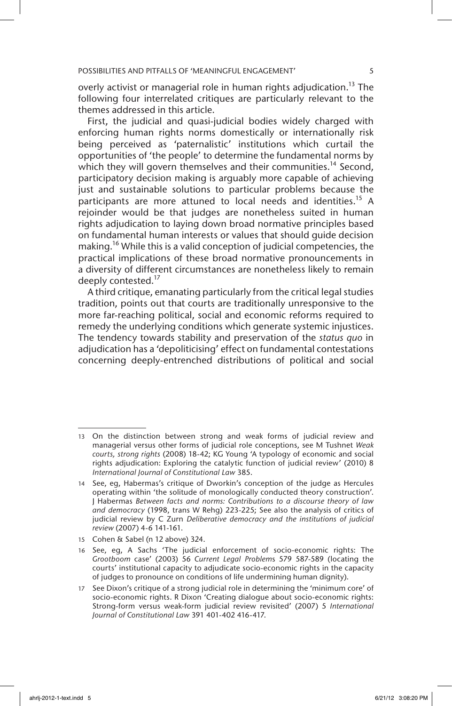overly activist or managerial role in human rights adjudication.<sup>13</sup> The following four interrelated critiques are particularly relevant to the themes addressed in this article.

First, the judicial and quasi-judicial bodies widely charged with enforcing human rights norms domestically or internationally risk being perceived as 'paternalistic' institutions which curtail the opportunities of 'the people' to determine the fundamental norms by which they will govern themselves and their communities.<sup>14</sup> Second, participatory decision making is arguably more capable of achieving just and sustainable solutions to particular problems because the participants are more attuned to local needs and identities.<sup>15</sup> A rejoinder would be that judges are nonetheless suited in human rights adjudication to laying down broad normative principles based on fundamental human interests or values that should guide decision making.<sup>16</sup> While this is a valid conception of judicial competencies, the practical implications of these broad normative pronouncements in a diversity of different circumstances are nonetheless likely to remain deeply contested.<sup>17</sup>

A third critique, emanating particularly from the critical legal studies tradition, points out that courts are traditionally unresponsive to the more far-reaching political, social and economic reforms required to remedy the underlying conditions which generate systemic injustices. The tendency towards stability and preservation of the *status quo* in adjudication has a 'depoliticising' effect on fundamental contestations concerning deeply-entrenched distributions of political and social

15 Cohen & Sabel (n 12 above) 324.

<sup>13</sup> On the distinction between strong and weak forms of judicial review and managerial versus other forms of judicial role conceptions, see M Tushnet *Weak courts, strong rights* (2008) 18-42; KG Young 'A typology of economic and social rights adjudication: Exploring the catalytic function of judicial review' (2010) 8 *International Journal of Constitutional Law* 385.

<sup>14</sup> See, eg, Habermas's critique of Dworkin's conception of the judge as Hercules operating within 'the solitude of monologically conducted theory construction'. J Habermas *Between facts and norms: Contributions to a discourse theory of law and democracy* (1998, trans W Rehg) 223-225; See also the analysis of critics of judicial review by C Zurn *Deliberative democracy and the institutions of judicial review* (2007) 4-6 141-161.

<sup>16</sup> See, eg, A Sachs 'The judicial enforcement of socio-economic rights: The *Grootboom* case' (2003) 56 *Current Legal Problem*s 579 587-589 (locating the courts' institutional capacity to adjudicate socio-economic rights in the capacity of judges to pronounce on conditions of life undermining human dignity).

<sup>17</sup> See Dixon's critique of a strong judicial role in determining the 'minimum core' of socio-economic rights. R Dixon 'Creating dialogue about socio-economic rights: Strong-form versus weak-form judicial review revisited' (2007) 5 *International Journal of Constitutional Law* 391 401-402 416-417.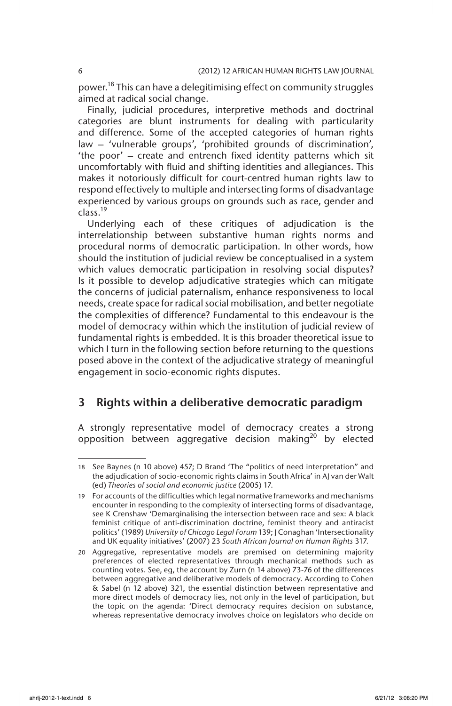power.<sup>18</sup> This can have a delegitimising effect on community struggles aimed at radical social change.

Finally, judicial procedures, interpretive methods and doctrinal categories are blunt instruments for dealing with particularity and difference. Some of the accepted categories of human rights law – 'vulnerable groups', 'prohibited grounds of discrimination', 'the poor' – create and entrench fixed identity patterns which sit uncomfortably with fluid and shifting identities and allegiances. This makes it notoriously difficult for court-centred human rights law to respond effectively to multiple and intersecting forms of disadvantage experienced by various groups on grounds such as race, gender and class.19

Underlying each of these critiques of adjudication is the interrelationship between substantive human rights norms and procedural norms of democratic participation. In other words, how should the institution of judicial review be conceptualised in a system which values democratic participation in resolving social disputes? Is it possible to develop adjudicative strategies which can mitigate the concerns of judicial paternalism, enhance responsiveness to local needs, create space for radical social mobilisation, and better negotiate the complexities of difference? Fundamental to this endeavour is the model of democracy within which the institution of judicial review of fundamental rights is embedded. It is this broader theoretical issue to which I turn in the following section before returning to the questions posed above in the context of the adjudicative strategy of meaningful engagement in socio-economic rights disputes.

# 3 Rights within a deliberative democratic paradigm

A strongly representative model of democracy creates a strong opposition between aggregative decision making<sup>20</sup> by elected

<sup>18</sup> See Baynes (n 10 above) 457; D Brand 'The "politics of need interpretation" and the adjudication of socio-economic rights claims in South Africa' in AJ van der Walt (ed) *Theories of social and economic justice* (2005) 17.

<sup>19</sup> For accounts of the difficulties which legal normative frameworks and mechanisms encounter in responding to the complexity of intersecting forms of disadvantage, see K Crenshaw 'Demarginalising the intersection between race and sex: A black feminist critique of anti-discrimination doctrine, feminist theory and antiracist politics' (1989) *University of Chicago Legal Forum* 139; J Conaghan 'Intersectionality and UK equality initiatives' (2007) 23 *South African Journal on Human Rights* 317.

<sup>20</sup> Aggregative, representative models are premised on determining majority preferences of elected representatives through mechanical methods such as counting votes. See, eg, the account by Zurn (n 14 above) 73-76 of the differences between aggregative and deliberative models of democracy. According to Cohen & Sabel (n 12 above) 321, the essential distinction between representative and more direct models of democracy lies, not only in the level of participation, but the topic on the agenda: 'Direct democracy requires decision on substance, whereas representative democracy involves choice on legislators who decide on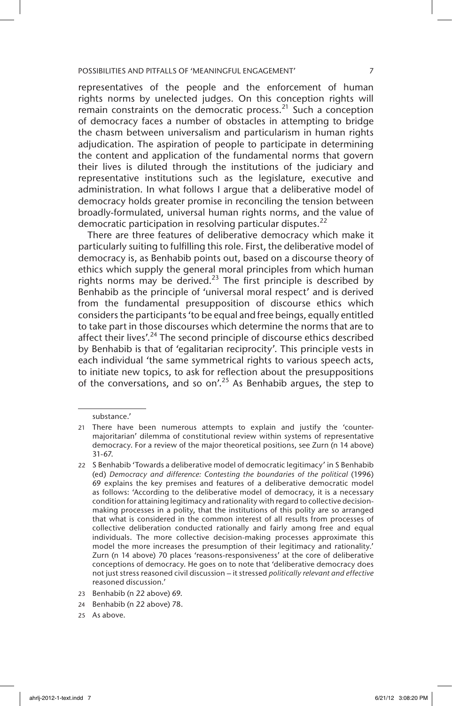representatives of the people and the enforcement of human rights norms by unelected judges. On this conception rights will remain constraints on the democratic process.<sup>21</sup> Such a conception of democracy faces a number of obstacles in attempting to bridge the chasm between universalism and particularism in human rights adjudication. The aspiration of people to participate in determining the content and application of the fundamental norms that govern their lives is diluted through the institutions of the judiciary and representative institutions such as the legislature, executive and administration. In what follows I argue that a deliberative model of democracy holds greater promise in reconciling the tension between broadly-formulated, universal human rights norms, and the value of democratic participation in resolving particular disputes.<sup>22</sup>

There are three features of deliberative democracy which make it particularly suiting to fulfilling this role. First, the deliberative model of democracy is, as Benhabib points out, based on a discourse theory of ethics which supply the general moral principles from which human rights norms may be derived.<sup>23</sup> The first principle is described by Benhabib as the principle of 'universal moral respect' and is derived from the fundamental presupposition of discourse ethics which considers the participants 'to be equal and free beings, equally entitled to take part in those discourses which determine the norms that are to affect their lives'.<sup>24</sup> The second principle of discourse ethics described by Benhabib is that of 'egalitarian reciprocity'. This principle vests in each individual 'the same symmetrical rights to various speech acts, to initiate new topics, to ask for reflection about the presuppositions of the conversations, and so on'.<sup>25</sup> As Benhabib argues, the step to

substance.'

<sup>21</sup> There have been numerous attempts to explain and justify the 'countermajoritarian' dilemma of constitutional review within systems of representative democracy. For a review of the major theoretical positions, see Zurn (n 14 above) 31-67.

<sup>22</sup> S Benhabib 'Towards a deliberative model of democratic legitimacy' in S Benhabib (ed) *Democracy and difference: Contesting the boundaries of the political* (1996) 69 explains the key premises and features of a deliberative democratic model as follows: 'According to the deliberative model of democracy, it is a necessary condition for attaining legitimacy and rationality with regard to collective decisionmaking processes in a polity, that the institutions of this polity are so arranged that what is considered in the common interest of all results from processes of collective deliberation conducted rationally and fairly among free and equal individuals. The more collective decision-making processes approximate this model the more increases the presumption of their legitimacy and rationality.' Zurn (n 14 above) 70 places 'reasons-responsiveness' at the core of deliberative conceptions of democracy. He goes on to note that 'deliberative democracy does not just stress reasoned civil discussion – it stressed *politically relevant and effective* reasoned discussion.'

<sup>23</sup> Benhabib (n 22 above) 69.

<sup>24</sup> Benhabib (n 22 above) 78.

<sup>25</sup> As above.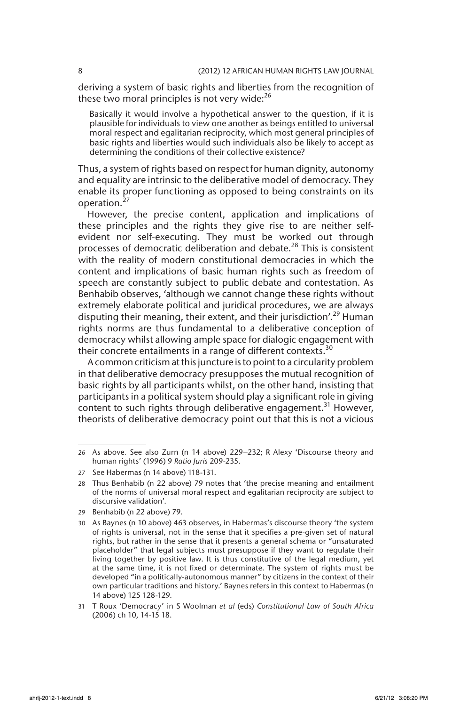deriving a system of basic rights and liberties from the recognition of these two moral principles is not very wide: $^{26}$ 

Basically it would involve a hypothetical answer to the question, if it is plausible for individuals to view one another as beings entitled to universal moral respect and egalitarian reciprocity, which most general principles of basic rights and liberties would such individuals also be likely to accept as determining the conditions of their collective existence?

Thus, a system of rights based on respect for human dignity, autonomy and equality are intrinsic to the deliberative model of democracy. They enable its proper functioning as opposed to being constraints on its operation.<sup>27</sup>

However, the precise content, application and implications of these principles and the rights they give rise to are neither selfevident nor self-executing. They must be worked out through processes of democratic deliberation and debate.<sup>28</sup> This is consistent with the reality of modern constitutional democracies in which the content and implications of basic human rights such as freedom of speech are constantly subject to public debate and contestation. As Benhabib observes, 'although we cannot change these rights without extremely elaborate political and juridical procedures, we are always disputing their meaning, their extent, and their jurisdiction'.<sup>29</sup> Human rights norms are thus fundamental to a deliberative conception of democracy whilst allowing ample space for dialogic engagement with their concrete entailments in a range of different contexts.<sup>30</sup>

A common criticism at this juncture is to point to a circularity problem in that deliberative democracy presupposes the mutual recognition of basic rights by all participants whilst, on the other hand, insisting that participants in a political system should play a significant role in giving content to such rights through deliberative engagement.<sup>31</sup> However, theorists of deliberative democracy point out that this is not a vicious

<sup>26</sup> As above*.* See also Zurn (n 14 above) 229–232; R Alexy 'Discourse theory and human rights' (1996) 9 *Ratio Juris* 209-235.

<sup>27</sup> See Habermas (n 14 above) 118-131.

<sup>28</sup> Thus Benhabib (n 22 above) 79 notes that 'the precise meaning and entailment of the norms of universal moral respect and egalitarian reciprocity are subject to discursive validation'.

<sup>29</sup> Benhabib (n 22 above) 79.

<sup>30</sup> As Baynes (n 10 above) 463 observes, in Habermas's discourse theory 'the system of rights is universal, not in the sense that it specifies a pre-given set of natural rights, but rather in the sense that it presents a general schema or "unsaturated placeholder" that legal subjects must presuppose if they want to regulate their living together by positive law. It is thus constitutive of the legal medium, yet at the same time, it is not fixed or determinate. The system of rights must be developed "in a politically-autonomous manner" by citizens in the context of their own particular traditions and history.' Baynes refers in this context to Habermas (n 14 above) 125 128-129.

<sup>31</sup> T Roux 'Democracy' in S Woolman *et al* (eds) *Constitutional Law of South Africa* (2006) ch 10, 14-15 18.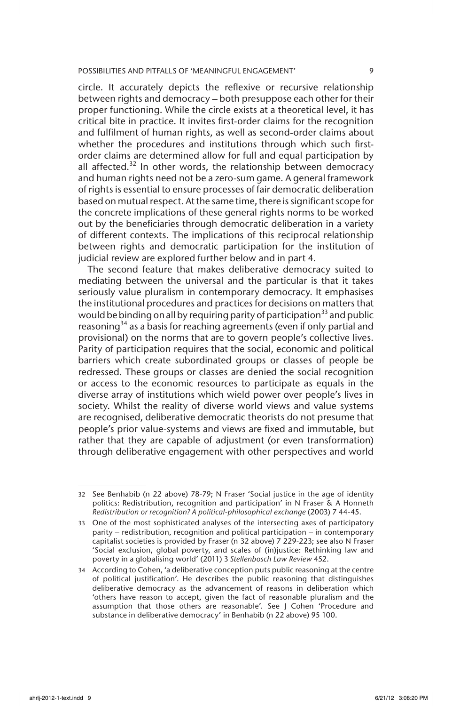circle. It accurately depicts the reflexive or recursive relationship between rights and democracy – both presuppose each other for their proper functioning. While the circle exists at a theoretical level, it has critical bite in practice. It invites first-order claims for the recognition and fulfilment of human rights, as well as second-order claims about whether the procedures and institutions through which such firstorder claims are determined allow for full and equal participation by all affected.<sup>32</sup> In other words, the relationship between democracy and human rights need not be a zero-sum game. A general framework of rights is essential to ensure processes of fair democratic deliberation based on mutual respect. At the same time, there is significant scope for the concrete implications of these general rights norms to be worked out by the beneficiaries through democratic deliberation in a variety of different contexts. The implications of this reciprocal relationship between rights and democratic participation for the institution of judicial review are explored further below and in part 4.

The second feature that makes deliberative democracy suited to mediating between the universal and the particular is that it takes seriously value pluralism in contemporary democracy. It emphasises the institutional procedures and practices for decisions on matters that would be binding on all by requiring parity of participation<sup>33</sup> and public reasoning<sup>34</sup> as a basis for reaching agreements (even if only partial and provisional) on the norms that are to govern people's collective lives. Parity of participation requires that the social, economic and political barriers which create subordinated groups or classes of people be redressed. These groups or classes are denied the social recognition or access to the economic resources to participate as equals in the diverse array of institutions which wield power over people's lives in society. Whilst the reality of diverse world views and value systems are recognised, deliberative democratic theorists do not presume that people's prior value-systems and views are fixed and immutable, but rather that they are capable of adjustment (or even transformation) through deliberative engagement with other perspectives and world

<sup>32</sup> See Benhabib (n 22 above) 78-79; N Fraser 'Social justice in the age of identity politics: Redistribution, recognition and participation' in N Fraser & A Honneth *Redistribution or recognition? A political-philosophical exchange* (2003) 7 44-45.

<sup>33</sup> One of the most sophisticated analyses of the intersecting axes of participatory parity – redistribution, recognition and political participation – in contemporary capitalist societies is provided by Fraser (n 32 above) 7 229-223; see also N Fraser 'Social exclusion, global poverty, and scales of (in)justice: Rethinking law and poverty in a globalising world' (2011) 3 *Stellenbosch Law Review* 452.

<sup>34</sup> According to Cohen, 'a deliberative conception puts public reasoning at the centre of political justification'. He describes the public reasoning that distinguishes deliberative democracy as the advancement of reasons in deliberation which 'others have reason to accept, given the fact of reasonable pluralism and the assumption that those others are reasonable'. See J Cohen 'Procedure and substance in deliberative democracy' in Benhabib (n 22 above) 95 100.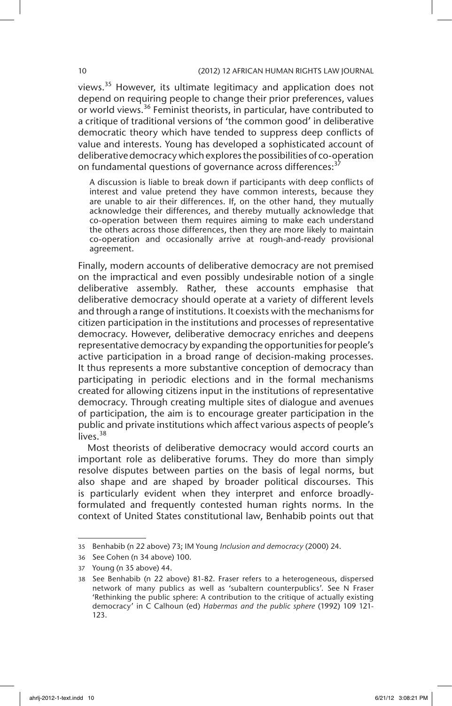views.<sup>35</sup> However, its ultimate legitimacy and application does not depend on requiring people to change their prior preferences, values or world views.<sup>36</sup> Feminist theorists, in particular, have contributed to a critique of traditional versions of 'the common good' in deliberative democratic theory which have tended to suppress deep conflicts of value and interests. Young has developed a sophisticated account of deliberative democracy which explores the possibilities of co-operation on fundamental questions of governance across differences:<sup>3</sup>

A discussion is liable to break down if participants with deep conflicts of interest and value pretend they have common interests, because they are unable to air their differences. If, on the other hand, they mutually acknowledge their differences, and thereby mutually acknowledge that co-operation between them requires aiming to make each understand the others across those differences, then they are more likely to maintain co-operation and occasionally arrive at rough-and-ready provisional agreement.

Finally, modern accounts of deliberative democracy are not premised on the impractical and even possibly undesirable notion of a single deliberative assembly. Rather, these accounts emphasise that deliberative democracy should operate at a variety of different levels and through a range of institutions. It coexists with the mechanisms for citizen participation in the institutions and processes of representative democracy. However, deliberative democracy enriches and deepens representative democracy by expanding the opportunities for people's active participation in a broad range of decision-making processes. It thus represents a more substantive conception of democracy than participating in periodic elections and in the formal mechanisms created for allowing citizens input in the institutions of representative democracy. Through creating multiple sites of dialogue and avenues of participation, the aim is to encourage greater participation in the public and private institutions which affect various aspects of people's lives.<sup>38</sup>

Most theorists of deliberative democracy would accord courts an important role as deliberative forums. They do more than simply resolve disputes between parties on the basis of legal norms, but also shape and are shaped by broader political discourses. This is particularly evident when they interpret and enforce broadlyformulated and frequently contested human rights norms. In the context of United States constitutional law, Benhabib points out that

<sup>35</sup> Benhabib (n 22 above) 73; IM Young *Inclusion and democracy* (2000) 24.

<sup>36</sup> See Cohen (n 34 above) 100.

<sup>37</sup> Young (n 35 above) 44.

<sup>38</sup> See Benhabib (n 22 above) 81-82. Fraser refers to a heterogeneous, dispersed network of many publics as well as 'subaltern counterpublics'. See N Fraser 'Rethinking the public sphere: A contribution to the critique of actually existing democracy' in C Calhoun (ed) *Habermas and the public sphere* (1992) 109 121- 123.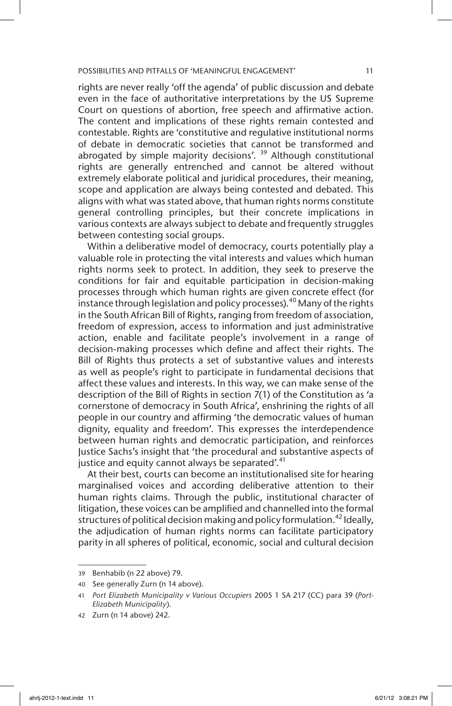rights are never really 'off the agenda' of public discussion and debate even in the face of authoritative interpretations by the US Supreme Court on questions of abortion, free speech and affirmative action. The content and implications of these rights remain contested and contestable. Rights are 'constitutive and regulative institutional norms of debate in democratic societies that cannot be transformed and abrogated by simple majority decisions'.  $39$  Although constitutional rights are generally entrenched and cannot be altered without extremely elaborate political and juridical procedures, their meaning, scope and application are always being contested and debated. This aligns with what was stated above, that human rights norms constitute general controlling principles, but their concrete implications in various contexts are always subject to debate and frequently struggles between contesting social groups.

Within a deliberative model of democracy, courts potentially play a valuable role in protecting the vital interests and values which human rights norms seek to protect. In addition, they seek to preserve the conditions for fair and equitable participation in decision-making processes through which human rights are given concrete effect (for instance through legislation and policy processes). $40$  Many of the rights in the South African Bill of Rights, ranging from freedom of association, freedom of expression, access to information and just administrative action, enable and facilitate people's involvement in a range of decision-making processes which define and affect their rights. The Bill of Rights thus protects a set of substantive values and interests as well as people's right to participate in fundamental decisions that affect these values and interests. In this way, we can make sense of the description of the Bill of Rights in section 7(1) of the Constitution as 'a cornerstone of democracy in South Africa', enshrining the rights of all people in our country and affirming 'the democratic values of human dignity, equality and freedom'. This expresses the interdependence between human rights and democratic participation, and reinforces Justice Sachs's insight that 'the procedural and substantive aspects of justice and equity cannot always be separated'.<sup>41</sup>

At their best, courts can become an institutionalised site for hearing marginalised voices and according deliberative attention to their human rights claims. Through the public, institutional character of litigation, these voices can be amplified and channelled into the formal structures of political decision making and policy formulation.<sup>42</sup> Ideally, the adjudication of human rights norms can facilitate participatory parity in all spheres of political, economic, social and cultural decision

<sup>39</sup> Benhabib (n 22 above) 79.

<sup>40</sup> See generally Zurn (n 14 above).

<sup>41</sup> *Port Elizabeth Municipality v Various Occupiers* 2005 1 SA 217 (CC) para 39 (*Port-Elizabeth Municipality*).

<sup>42</sup> Zurn (n 14 above) 242.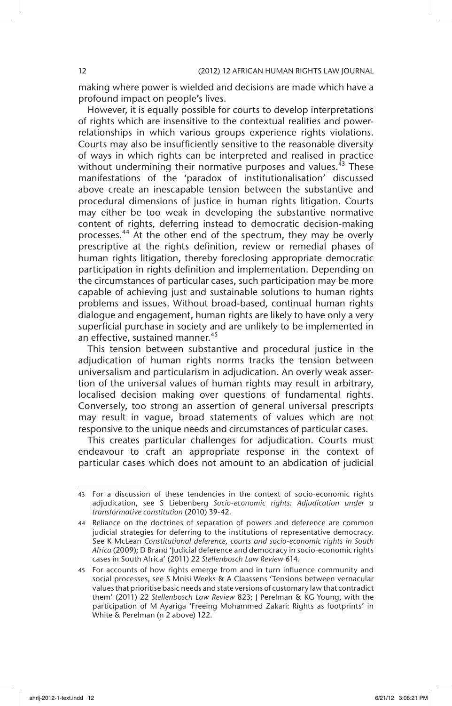making where power is wielded and decisions are made which have a profound impact on people's lives.

However, it is equally possible for courts to develop interpretations of rights which are insensitive to the contextual realities and powerrelationships in which various groups experience rights violations. Courts may also be insufficiently sensitive to the reasonable diversity of ways in which rights can be interpreted and realised in practice without undermining their normative purposes and values.<sup>43</sup> These manifestations of the 'paradox of institutionalisation' discussed above create an inescapable tension between the substantive and procedural dimensions of justice in human rights litigation. Courts may either be too weak in developing the substantive normative content of rights, deferring instead to democratic decision-making processes.<sup>44</sup> At the other end of the spectrum, they may be overly prescriptive at the rights definition, review or remedial phases of human rights litigation, thereby foreclosing appropriate democratic participation in rights definition and implementation. Depending on the circumstances of particular cases, such participation may be more capable of achieving just and sustainable solutions to human rights problems and issues. Without broad-based, continual human rights dialogue and engagement, human rights are likely to have only a very superficial purchase in society and are unlikely to be implemented in an effective, sustained manner.<sup>45</sup>

This tension between substantive and procedural justice in the adjudication of human rights norms tracks the tension between universalism and particularism in adjudication. An overly weak assertion of the universal values of human rights may result in arbitrary, localised decision making over questions of fundamental rights. Conversely, too strong an assertion of general universal prescripts may result in vague, broad statements of values which are not responsive to the unique needs and circumstances of particular cases.

This creates particular challenges for adjudication. Courts must endeavour to craft an appropriate response in the context of particular cases which does not amount to an abdication of judicial

<sup>43</sup> For a discussion of these tendencies in the context of socio-economic rights adjudication, see S Liebenberg *Socio-economic rights: Adjudication under a transformative constitution* (2010) 39-42.

<sup>44</sup> Reliance on the doctrines of separation of powers and deference are common judicial strategies for deferring to the institutions of representative democracy. See K McLean *Constitutional deference, courts and socio-economic rights in South Africa* (2009); D Brand 'Judicial deference and democracy in socio-economic rights cases in South Africa' (2011) 22 *Stellenbosch Law Review* 614.

<sup>45</sup> For accounts of how rights emerge from and in turn influence community and social processes, see S Mnisi Weeks & A Claassens 'Tensions between vernacular values that prioritise basic needs and state versions of customary law that contradict them' (2011) 22 *Stellenbosch Law Review* 823; J Perelman & KG Young, with the participation of M Ayariga 'Freeing Mohammed Zakari: Rights as footprints' in White & Perelman (n 2 above) 122.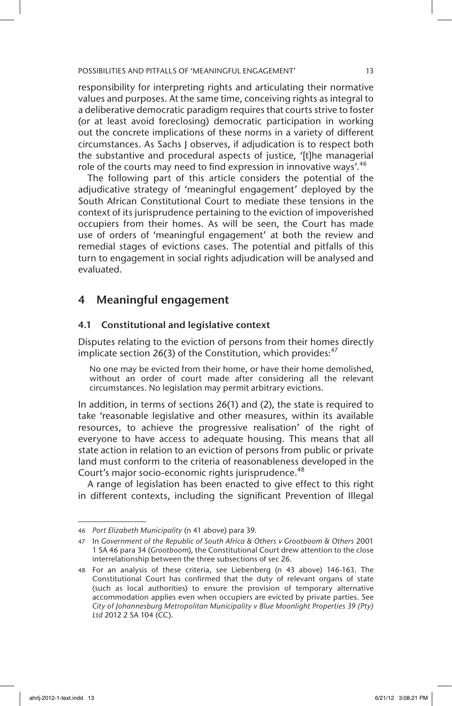responsibility for interpreting rights and articulating their normative values and purposes. At the same time, conceiving rights as integral to a deliberative democratic paradigm requires that courts strive to foster (or at least avoid foreclosing) democratic participation in working out the concrete implications of these norms in a variety of different circumstances. As Sachs J observes, if adjudication is to respect both the substantive and procedural aspects of justice, '[t]he managerial role of the courts may need to find expression in innovative ways'.<sup>46</sup>

The following part of this article considers the potential of the adjudicative strategy of 'meaningful engagement' deployed by the South African Constitutional Court to mediate these tensions in the context of its jurisprudence pertaining to the eviction of impoverished occupiers from their homes. As will be seen, the Court has made use of orders of 'meaningful engagement' at both the review and remedial stages of evictions cases. The potential and pitfalls of this turn to engagement in social rights adjudication will be analysed and evaluated.

# 4 Meaningful engagement

# 4.1 Constitutional and legislative context

Disputes relating to the eviction of persons from their homes directly implicate section 26(3) of the Constitution, which provides: $47$ 

No one may be evicted from their home, or have their home demolished, without an order of court made after considering all the relevant circumstances. No legislation may permit arbitrary evictions.

In addition, in terms of sections 26(1) and (2), the state is required to take 'reasonable legislative and other measures, within its available resources, to achieve the progressive realisation' of the right of everyone to have access to adequate housing. This means that all state action in relation to an eviction of persons from public or private land must conform to the criteria of reasonableness developed in the Court's major socio-economic rights jurisprudence.<sup>48</sup>

A range of legislation has been enacted to give effect to this right in different contexts, including the significant Prevention of Illegal

<sup>46</sup> *Port Elizabeth Municipality* (n 41 above) para 39.

<sup>47</sup> In *Government of the Republic of South Africa & Others v Grootboom & Others* 2001 1 SA 46 para 34 (*Grootboom*), the Constitutional Court drew attention to the close interrelationship between the three subsections of sec 26.

<sup>48</sup> For an analysis of these criteria, see Liebenberg (n 43 above) 146-163. The Constitutional Court has confirmed that the duty of relevant organs of state (such as local authorities) to ensure the provision of temporary alternative accommodation applies even when occupiers are evicted by private parties. See *City of Johannesburg Metropolitan Municipality v Blue Moonlight Properties 39 (Pty) Ltd* 2012 2 SA 104 (CC).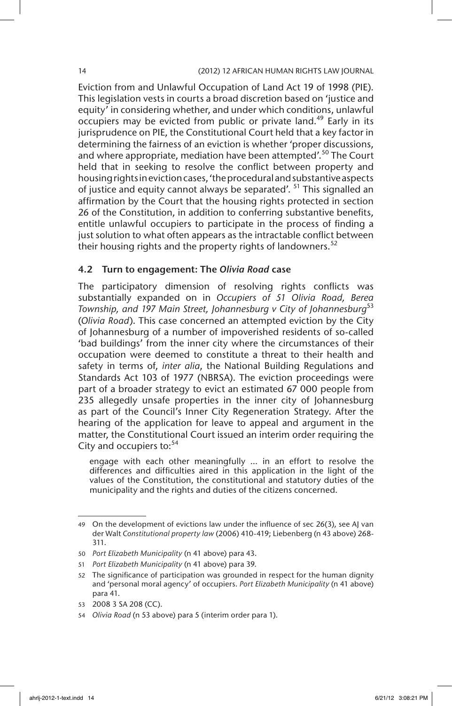Eviction from and Unlawful Occupation of Land Act 19 of 1998 (PIE). This legislation vests in courts a broad discretion based on 'justice and equity' in considering whether, and under which conditions, unlawful occupiers may be evicted from public or private land.<sup>49</sup> Early in its jurisprudence on PIE, the Constitutional Court held that a key factor in determining the fairness of an eviction is whether 'proper discussions, and where appropriate, mediation have been attempted'.<sup>50</sup> The Court held that in seeking to resolve the conflict between property and housing rights in eviction cases, 'the procedural and substantive aspects of justice and equity cannot always be separated'. <sup>51</sup> This signalled an affirmation by the Court that the housing rights protected in section 26 of the Constitution, in addition to conferring substantive benefits, entitle unlawful occupiers to participate in the process of finding a just solution to what often appears as the intractable conflict between their housing rights and the property rights of landowners.<sup>52</sup>

# 4.2 Turn to engagement: The *Olivia Road* case

The participatory dimension of resolving rights conflicts was substantially expanded on in *Occupiers of 51 Olivia Road, Berea Township, and 197 Main Street, Johannesburg v City of Johannesburg*<sup>53</sup> (*Olivia Road*). This case concerned an attempted eviction by the City of Johannesburg of a number of impoverished residents of so-called 'bad buildings' from the inner city where the circumstances of their occupation were deemed to constitute a threat to their health and safety in terms of, *inter alia*, the National Building Regulations and Standards Act 103 of 1977 (NBRSA). The eviction proceedings were part of a broader strategy to evict an estimated 67 000 people from 235 allegedly unsafe properties in the inner city of Johannesburg as part of the Council's Inner City Regeneration Strategy. After the hearing of the application for leave to appeal and argument in the matter, the Constitutional Court issued an interim order requiring the City and occupiers to:<sup>54</sup>

engage with each other meaningfully … in an effort to resolve the differences and difficulties aired in this application in the light of the values of the Constitution, the constitutional and statutory duties of the municipality and the rights and duties of the citizens concerned.

<sup>49</sup> On the development of evictions law under the influence of sec 26(3), see AJ van der Walt *Constitutional property law* (2006) 410-419; Liebenberg (n 43 above) 268- 311.

<sup>50</sup> *Port Elizabeth Municipality* (n 41 above) para 43.

<sup>51</sup> *Port Elizabeth Municipality* (n 41 above) para 39.

<sup>52</sup> The significance of participation was grounded in respect for the human dignity and 'personal moral agency' of occupiers. *Port Elizabeth Municipality* (n 41 above) para 41.

<sup>53</sup> 2008 3 SA 208 (CC).

<sup>54</sup> *Olivia Road* (n 53 above) para 5 (interim order para 1).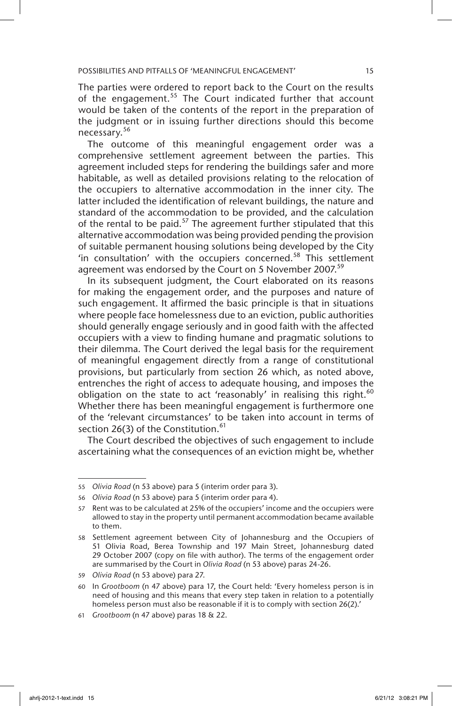The parties were ordered to report back to the Court on the results of the engagement.<sup>55</sup> The Court indicated further that account would be taken of the contents of the report in the preparation of the judgment or in issuing further directions should this become necessary.<sup>56</sup>

The outcome of this meaningful engagement order was a comprehensive settlement agreement between the parties. This agreement included steps for rendering the buildings safer and more habitable, as well as detailed provisions relating to the relocation of the occupiers to alternative accommodation in the inner city. The latter included the identification of relevant buildings, the nature and standard of the accommodation to be provided, and the calculation of the rental to be paid. $57$  The agreement further stipulated that this alternative accommodation was being provided pending the provision of suitable permanent housing solutions being developed by the City 'in consultation' with the occupiers concerned.<sup>58</sup> This settlement agreement was endorsed by the Court on 5 November 2007.<sup>59</sup>

In its subsequent judgment, the Court elaborated on its reasons for making the engagement order, and the purposes and nature of such engagement. It affirmed the basic principle is that in situations where people face homelessness due to an eviction, public authorities should generally engage seriously and in good faith with the affected occupiers with a view to finding humane and pragmatic solutions to their dilemma. The Court derived the legal basis for the requirement of meaningful engagement directly from a range of constitutional provisions, but particularly from section 26 which, as noted above, entrenches the right of access to adequate housing, and imposes the obligation on the state to act 'reasonably' in realising this right.<sup>60</sup> Whether there has been meaningful engagement is furthermore one of the 'relevant circumstances' to be taken into account in terms of section 26(3) of the Constitution. $61$ 

The Court described the objectives of such engagement to include ascertaining what the consequences of an eviction might be, whether

<sup>55</sup> *Olivia Road* (n 53 above) para 5 (interim order para 3).

<sup>56</sup> *Olivia Road* (n 53 above) para 5 (interim order para 4).

<sup>57</sup> Rent was to be calculated at 25% of the occupiers' income and the occupiers were allowed to stay in the property until permanent accommodation became available to them.

<sup>58</sup> Settlement agreement between City of Johannesburg and the Occupiers of 51 Olivia Road, Berea Township and 197 Main Street, Johannesburg dated 29 October 2007 (copy on file with author). The terms of the engagement order are summarised by the Court in *Olivia Road* (n 53 above) paras 24-26.

<sup>59</sup> *Olivia Road* (n 53 above) para 27.

<sup>60</sup> In *Grootboom* (n 47 above) para 17, the Court held: 'Every homeless person is in need of housing and this means that every step taken in relation to a potentially homeless person must also be reasonable if it is to comply with section 26(2).'

<sup>61</sup> *Grootboom* (n 47 above) paras 18 & 22.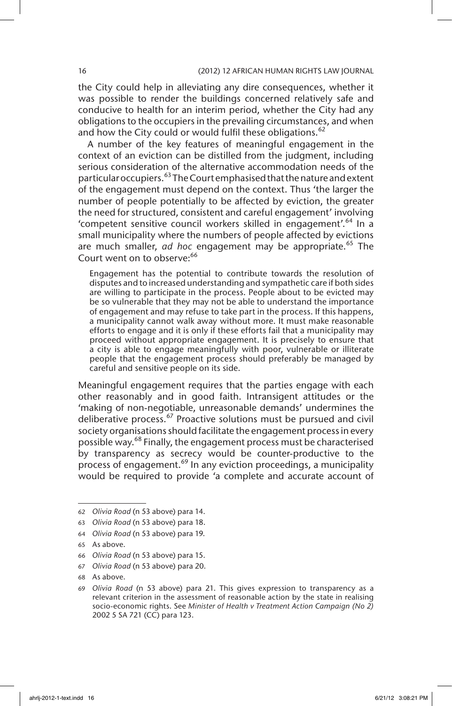the City could help in alleviating any dire consequences, whether it was possible to render the buildings concerned relatively safe and conducive to health for an interim period, whether the City had any obligations to the occupiers in the prevailing circumstances, and when and how the City could or would fulfil these obligations.  $62$ 

A number of the key features of meaningful engagement in the context of an eviction can be distilled from the judgment, including serious consideration of the alternative accommodation needs of the particular occupiers.<sup>63</sup> The Court emphasised that the nature and extent of the engagement must depend on the context. Thus 'the larger the number of people potentially to be affected by eviction, the greater the need for structured, consistent and careful engagement' involving 'competent sensitive council workers skilled in engagement'.64 In a small municipality where the numbers of people affected by evictions are much smaller, *ad hoc* engagement may be appropriate.<sup>65</sup> The Court went on to observe:<sup>66</sup>

Engagement has the potential to contribute towards the resolution of disputes and to increased understanding and sympathetic care if both sides are willing to participate in the process. People about to be evicted may be so vulnerable that they may not be able to understand the importance of engagement and may refuse to take part in the process. If this happens, a municipality cannot walk away without more. It must make reasonable efforts to engage and it is only if these efforts fail that a municipality may proceed without appropriate engagement. It is precisely to ensure that a city is able to engage meaningfully with poor, vulnerable or illiterate people that the engagement process should preferably be managed by careful and sensitive people on its side.

Meaningful engagement requires that the parties engage with each other reasonably and in good faith. Intransigent attitudes or the 'making of non-negotiable, unreasonable demands' undermines the deliberative process.<sup>67</sup> Proactive solutions must be pursued and civil society organisations should facilitate the engagement process in every possible way.<sup>68</sup> Finally, the engagement process must be characterised by transparency as secrecy would be counter-productive to the process of engagement.<sup>69</sup> In any eviction proceedings, a municipality would be required to provide 'a complete and accurate account of

<sup>62</sup> *Olivia Road* (n 53 above) para 14.

<sup>63</sup> *Olivia Road* (n 53 above) para 18.

<sup>64</sup> *Olivia Road* (n 53 above) para 19.

<sup>65</sup> As above.

<sup>66</sup> *Olivia Road* (n 53 above) para 15.

<sup>67</sup> *Olivia Road* (n 53 above) para 20.

<sup>68</sup> As above.

<sup>69</sup> *Olivia Road* (n 53 above) para 21. This gives expression to transparency as a relevant criterion in the assessment of reasonable action by the state in realising socio-economic rights. See *Minister of Health v Treatment Action Campaign (No 2)* 2002 5 SA 721 (CC) para 123.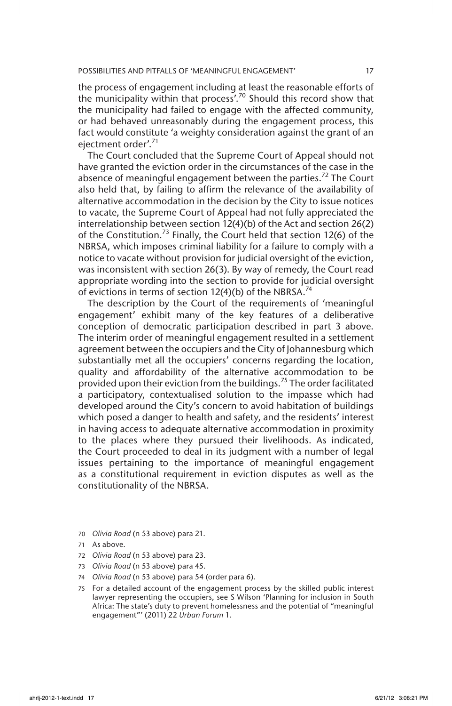the process of engagement including at least the reasonable efforts of the municipality within that process'.<sup>70</sup> Should this record show that the municipality had failed to engage with the affected community, or had behaved unreasonably during the engagement process, this fact would constitute 'a weighty consideration against the grant of an ejectment order'.<sup>71</sup>

The Court concluded that the Supreme Court of Appeal should not have granted the eviction order in the circumstances of the case in the absence of meaningful engagement between the parties.<sup>72</sup> The Court also held that, by failing to affirm the relevance of the availability of alternative accommodation in the decision by the City to issue notices to vacate, the Supreme Court of Appeal had not fully appreciated the interrelationship between section 12(4)(b) of the Act and section 26(2) of the Constitution.<sup>73</sup> Finally, the Court held that section 12(6) of the NBRSA, which imposes criminal liability for a failure to comply with a notice to vacate without provision for judicial oversight of the eviction, was inconsistent with section 26(3). By way of remedy, the Court read appropriate wording into the section to provide for judicial oversight of evictions in terms of section  $12(4)(b)$  of the NBRSA.<sup>74</sup>

The description by the Court of the requirements of 'meaningful engagement' exhibit many of the key features of a deliberative conception of democratic participation described in part 3 above. The interim order of meaningful engagement resulted in a settlement agreement between the occupiers and the City of Johannesburg which substantially met all the occupiers' concerns regarding the location, quality and affordability of the alternative accommodation to be provided upon their eviction from the buildings.<sup>75</sup> The order facilitated a participatory, contextualised solution to the impasse which had developed around the City's concern to avoid habitation of buildings which posed a danger to health and safety, and the residents' interest in having access to adequate alternative accommodation in proximity to the places where they pursued their livelihoods. As indicated, the Court proceeded to deal in its judgment with a number of legal issues pertaining to the importance of meaningful engagement as a constitutional requirement in eviction disputes as well as the constitutionality of the NBRSA.

<sup>70</sup> *Olivia Road* (n 53 above) para 21.

<sup>71</sup> As above.

<sup>72</sup> *Olivia Road* (n 53 above) para 23.

<sup>73</sup> *Olivia Road* (n 53 above) para 45.

<sup>74</sup> *Olivia Road* (n 53 above) para 54 (order para 6).

<sup>75</sup> For a detailed account of the engagement process by the skilled public interest lawyer representing the occupiers, see S Wilson 'Planning for inclusion in South Africa: The state's duty to prevent homelessness and the potential of "meaningful engagement"' (2011) 22 *Urban Forum* 1.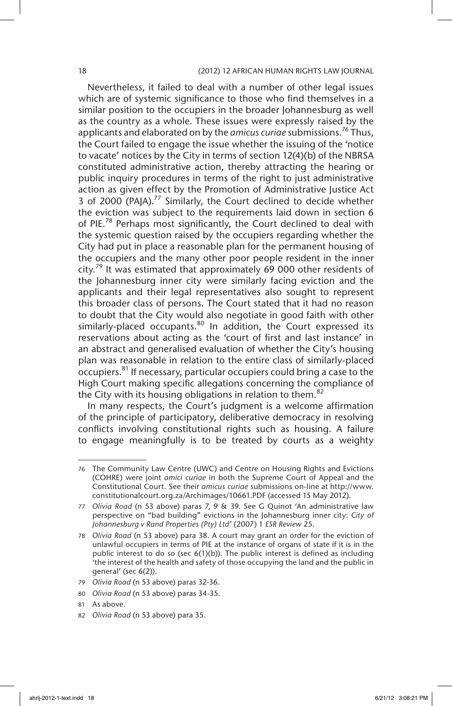#### 18 (2012) 12 AFRICAN HUMAN RIGHTS LAW JOURNAL

Nevertheless, it failed to deal with a number of other legal issues which are of systemic significance to those who find themselves in a similar position to the occupiers in the broader Johannesburg as well as the country as a whole. These issues were expressly raised by the applicants and elaborated on by the *amicus curiae* submissions.<sup>76</sup> Thus, the Court failed to engage the issue whether the issuing of the 'notice to vacate' notices by the City in terms of section 12(4)(b) of the NBRSA constituted administrative action, thereby attracting the hearing or public inquiry procedures in terms of the right to just administrative action as given effect by the Promotion of Administrative Justice Act 3 of 2000 (PAJA).<sup>77</sup> Similarly, the Court declined to decide whether the eviction was subject to the requirements laid down in section 6 of PIE.<sup>78</sup> Perhaps most significantly, the Court declined to deal with the systemic question raised by the occupiers regarding whether the City had put in place a reasonable plan for the permanent housing of the occupiers and the many other poor people resident in the inner city.<sup>79</sup> It was estimated that approximately 69 000 other residents of the Johannesburg inner city were similarly facing eviction and the applicants and their legal representatives also sought to represent this broader class of persons. The Court stated that it had no reason to doubt that the City would also negotiate in good faith with other similarly-placed occupants. $80$  In addition, the Court expressed its reservations about acting as the 'court of first and last instance' in an abstract and generalised evaluation of whether the City's housing plan was reasonable in relation to the entire class of similarly-placed occupiers.<sup>81</sup> If necessary, particular occupiers could bring a case to the High Court making specific allegations concerning the compliance of the City with its housing obligations in relation to them.<sup>82</sup>

In many respects, the Court's judgment is a welcome affirmation of the principle of participatory, deliberative democracy in resolving conflicts involving constitutional rights such as housing. A failure to engage meaningfully is to be treated by courts as a weighty

<sup>76</sup> The Community Law Centre (UWC) and Centre on Housing Rights and Evictions (COHRE) were joint *amici curiae* in both the Supreme Court of Appeal and the Constitutional Court. See their *amicus curiae* submissions on-line at http://www. constitutionalcourt.org.za/Archimages/10661.PDF (accessed 15 May 2012).

<sup>77</sup> *Olivia Road* (n 53 above) paras 7, 9 & 39. See G Quinot 'An administrative law perspective on "bad building" evictions in the Johannesburg inner city: *City of Johannesburg v Rand Properties (Pty) Ltd*' (2007) 1 *ESR Review* 25.

<sup>78</sup> *Olivia Road* (n 53 above) para 38. A court may grant an order for the eviction of unlawful occupiers in terms of PIE at the instance of organs of state if it is in the public interest to do so (sec 6(1)(b)). The public interest is defined as including 'the interest of the health and safety of those occupying the land and the public in general' (sec 6(2)).

<sup>79</sup> *Olivia Road* (n 53 above) paras 32-36.

<sup>80</sup> *Olivia Road* (n 53 above) paras 34-35.

<sup>81</sup> As above.

<sup>82</sup> *Olivia Road* (n 53 above) para 35.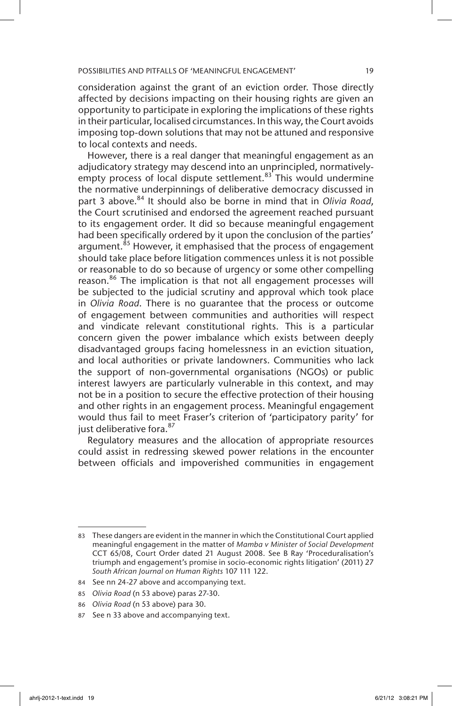consideration against the grant of an eviction order. Those directly affected by decisions impacting on their housing rights are given an opportunity to participate in exploring the implications of these rights in their particular, localised circumstances. In this way, the Court avoids imposing top-down solutions that may not be attuned and responsive to local contexts and needs.

However, there is a real danger that meaningful engagement as an adjudicatory strategy may descend into an unprincipled, normativelyempty process of local dispute settlement.<sup>83</sup> This would undermine the normative underpinnings of deliberative democracy discussed in part 3 above.<sup>84</sup> It should also be borne in mind that in *Olivia Road*, the Court scrutinised and endorsed the agreement reached pursuant to its engagement order. It did so because meaningful engagement had been specifically ordered by it upon the conclusion of the parties' argument.<sup>85</sup> However, it emphasised that the process of engagement should take place before litigation commences unless it is not possible or reasonable to do so because of urgency or some other compelling reason.<sup>86</sup> The implication is that not all engagement processes will be subjected to the judicial scrutiny and approval which took place in *Olivia Road*. There is no guarantee that the process or outcome of engagement between communities and authorities will respect and vindicate relevant constitutional rights. This is a particular concern given the power imbalance which exists between deeply disadvantaged groups facing homelessness in an eviction situation, and local authorities or private landowners. Communities who lack the support of non-governmental organisations (NGOs) or public interest lawyers are particularly vulnerable in this context, and may not be in a position to secure the effective protection of their housing and other rights in an engagement process. Meaningful engagement would thus fail to meet Fraser's criterion of 'participatory parity' for just deliberative fora. 87

Regulatory measures and the allocation of appropriate resources could assist in redressing skewed power relations in the encounter between officials and impoverished communities in engagement

<sup>83</sup> These dangers are evident in the manner in which the Constitutional Court applied meaningful engagement in the matter of *Mamba v Minister of Social Development* CCT 65/08, Court Order dated 21 August 2008. See B Ray 'Proceduralisation's triumph and engagement's promise in socio-economic rights litigation' (2011) 27 *South African Journal on Human Rights* 107 111 122.

<sup>84</sup> See nn 24-27 above and accompanying text.

<sup>85</sup> *Olivia Road* (n 53 above) paras 27-30.

<sup>86</sup> *Olivia Road* (n 53 above) para 30.

<sup>87</sup> See n 33 above and accompanying text.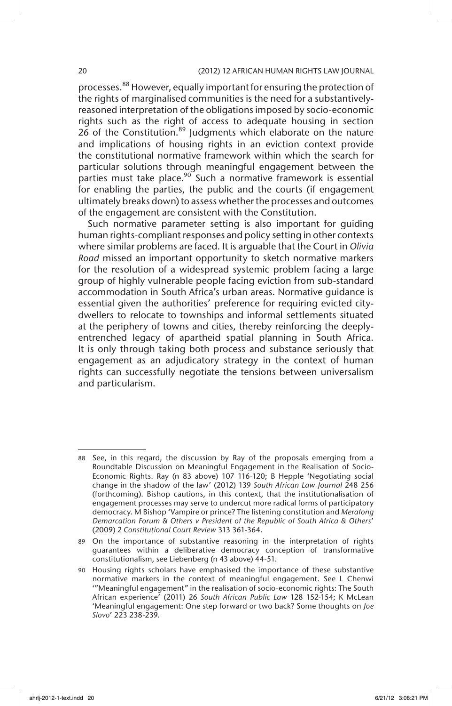#### 20 (2012) 12 AFRICAN HUMAN RIGHTS LAW JOURNAL

processes.<sup>88</sup> However, equally important for ensuring the protection of the rights of marginalised communities is the need for a substantivelyreasoned interpretation of the obligations imposed by socio-economic rights such as the right of access to adequate housing in section 26 of the Constitution.<sup>89</sup> Judgments which elaborate on the nature and implications of housing rights in an eviction context provide the constitutional normative framework within which the search for particular solutions through meaningful engagement between the parties must take place.<sup>90</sup> Such a normative framework is essential for enabling the parties, the public and the courts (if engagement ultimately breaks down) to assess whether the processes and outcomes of the engagement are consistent with the Constitution.

Such normative parameter setting is also important for guiding human rights-compliant responses and policy setting in other contexts where similar problems are faced. It is arguable that the Court in *Olivia Road* missed an important opportunity to sketch normative markers for the resolution of a widespread systemic problem facing a large group of highly vulnerable people facing eviction from sub-standard accommodation in South Africa's urban areas. Normative guidance is essential given the authorities' preference for requiring evicted citydwellers to relocate to townships and informal settlements situated at the periphery of towns and cities, thereby reinforcing the deeplyentrenched legacy of apartheid spatial planning in South Africa. It is only through taking both process and substance seriously that engagement as an adjudicatory strategy in the context of human rights can successfully negotiate the tensions between universalism and particularism.

<sup>88</sup> See, in this regard, the discussion by Ray of the proposals emerging from a Roundtable Discussion on Meaningful Engagement in the Realisation of Socio-Economic Rights. Ray (n 83 above) 107 116-120; B Hepple 'Negotiating social change in the shadow of the law' (2012) 139 *South African Law Journal* 248 256 (forthcoming). Bishop cautions, in this context, that the institutionalisation of engagement processes may serve to undercut more radical forms of participatory democracy. M Bishop 'Vampire or prince? The listening constitution and *Merafong Demarcation Forum & Others v President of the Republic of South Africa & Others*' (2009) 2 *Constitutional Court Review* 313 361-364.

<sup>89</sup> On the importance of substantive reasoning in the interpretation of rights guarantees within a deliberative democracy conception of transformative constitutionalism, see Liebenberg (n 43 above) 44-51.

<sup>90</sup> Housing rights scholars have emphasised the importance of these substantive normative markers in the context of meaningful engagement. See L Chenwi '"Meaningful engagement" in the realisation of socio-economic rights: The South African experience' (2011) 26 *South African Public Law* 128 152-154; K McLean 'Meaningful engagement: One step forward or two back? Some thoughts on *Joe Slovo*' 223 238-239.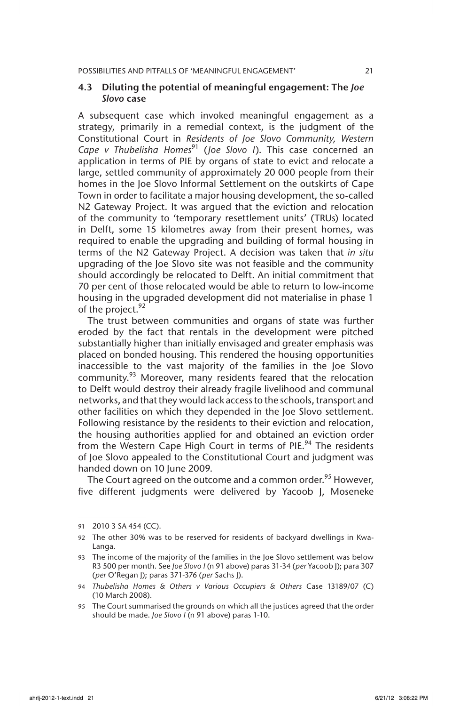# 4.3 Diluting the potential of meaningful engagement: The *Joe Slovo* case

A subsequent case which invoked meaningful engagement as a strategy, primarily in a remedial context, is the judgment of the Constitutional Court in *Residents of Joe Slovo Community, Western Cape v Thubelisha Homes*<sup>91</sup> (*Joe Slovo I*). This case concerned an application in terms of PIE by organs of state to evict and relocate a large, settled community of approximately 20 000 people from their homes in the Joe Slovo Informal Settlement on the outskirts of Cape Town in order to facilitate a major housing development, the so-called N2 Gateway Project. It was argued that the eviction and relocation of the community to 'temporary resettlement units' (TRUs) located in Delft, some 15 kilometres away from their present homes, was required to enable the upgrading and building of formal housing in terms of the N2 Gateway Project. A decision was taken that *in situ* upgrading of the Joe Slovo site was not feasible and the community should accordingly be relocated to Delft. An initial commitment that 70 per cent of those relocated would be able to return to low-income housing in the upgraded development did not materialise in phase 1 of the project.<sup>92</sup>

The trust between communities and organs of state was further eroded by the fact that rentals in the development were pitched substantially higher than initially envisaged and greater emphasis was placed on bonded housing. This rendered the housing opportunities inaccessible to the vast majority of the families in the Joe Slovo community.<sup>93</sup> Moreover, many residents feared that the relocation to Delft would destroy their already fragile livelihood and communal networks, and that they would lack access to the schools, transport and other facilities on which they depended in the Joe Slovo settlement. Following resistance by the residents to their eviction and relocation, the housing authorities applied for and obtained an eviction order from the Western Cape High Court in terms of PIE.<sup>94</sup> The residents of Joe Slovo appealed to the Constitutional Court and judgment was handed down on 10 June 2009.

The Court agreed on the outcome and a common order.<sup>95</sup> However, five different judgments were delivered by Yacoob J, Moseneke

<sup>91</sup> 2010 3 SA 454 (CC).

<sup>92</sup> The other 30% was to be reserved for residents of backyard dwellings in Kwa-Langa.

<sup>93</sup> The income of the majority of the families in the Joe Slovo settlement was below R3 500 per month. See *Joe Slovo I* (n 91 above) paras 31-34 (*per* Yacoob J); para 307 (*per* O'Regan J); paras 371-376 (*per* Sachs J).

<sup>94</sup> *Thubelisha Homes & Others v Various Occupiers & Others* Case 13189/07 (C) (10 March 2008).

<sup>95</sup> The Court summarised the grounds on which all the justices agreed that the order should be made. *Joe Slovo I* (n 91 above) paras 1-10.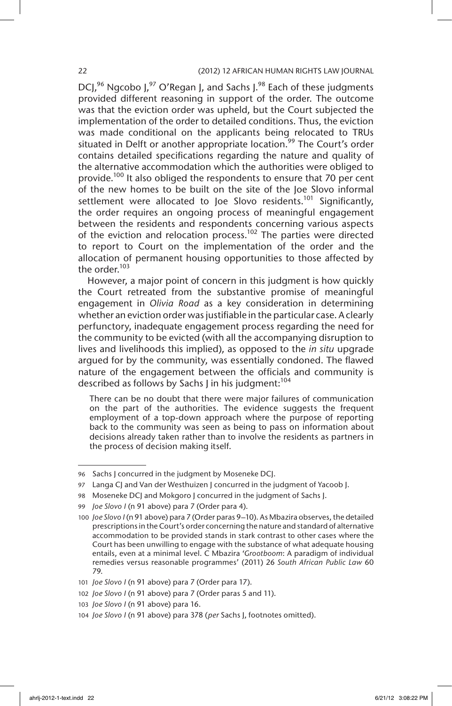# 22 (2012) 12 AFRICAN HUMAN RIGHTS LAW JOURNAL

DCI,  $96$  Ngcobo I,  $97$  O'Regan I, and Sachs I.  $98$  Each of these judgments provided different reasoning in support of the order. The outcome was that the eviction order was upheld, but the Court subjected the implementation of the order to detailed conditions. Thus, the eviction was made conditional on the applicants being relocated to TRUs situated in Delft or another appropriate location.<sup>99</sup> The Court's order contains detailed specifications regarding the nature and quality of the alternative accommodation which the authorities were obliged to provide.<sup>100</sup> It also obliged the respondents to ensure that 70 per cent of the new homes to be built on the site of the Joe Slovo informal settlement were allocated to Joe Slovo residents.<sup>101</sup> Significantly, the order requires an ongoing process of meaningful engagement between the residents and respondents concerning various aspects of the eviction and relocation process.<sup>102</sup> The parties were directed to report to Court on the implementation of the order and the allocation of permanent housing opportunities to those affected by the order.<sup>103</sup>

However, a major point of concern in this judgment is how quickly the Court retreated from the substantive promise of meaningful engagement in *Olivia Road* as a key consideration in determining whether an eviction order was justifiable in the particular case. A clearly perfunctory, inadequate engagement process regarding the need for the community to be evicted (with all the accompanying disruption to lives and livelihoods this implied), as opposed to the *in situ* upgrade argued for by the community, was essentially condoned. The flawed nature of the engagement between the officials and community is described as follows by Sachs I in his judgment:  $104$ 

There can be no doubt that there were major failures of communication on the part of the authorities. The evidence suggests the frequent employment of a top-down approach where the purpose of reporting back to the community was seen as being to pass on information about decisions already taken rather than to involve the residents as partners in the process of decision making itself.

<sup>96</sup> Sachs J concurred in the judgment by Moseneke DCJ.

<sup>97</sup> Langa CJ and Van der Westhuizen J concurred in the judgment of Yacoob J.

<sup>98</sup> Moseneke DCJ and Mokgoro J concurred in the judgment of Sachs J.

<sup>99</sup> *Joe Slovo I* (n 91 above) para 7 (Order para 4).

<sup>100</sup> *Joe Slovo I* (n 91 above) para 7 (Order paras 9–10). As Mbazira observes, the detailed prescriptions in the Court's order concerning the nature and standard of alternative accommodation to be provided stands in stark contrast to other cases where the Court has been unwilling to engage with the substance of what adequate housing entails, even at a minimal level. C Mbazira '*Grootboom*: A paradigm of individual remedies versus reasonable programmes' (2011) 26 *South African Public Law* 60 79.

<sup>101</sup> *Joe Slovo I* (n 91 above) para 7 (Order para 17).

<sup>102</sup> *Joe Slovo I* (n 91 above) para 7 (Order paras 5 and 11).

<sup>103</sup> *Joe Slovo I* (n 91 above) para 16.

<sup>104</sup> *Joe Slovo I* (n 91 above) para 378 (*per* Sachs J, footnotes omitted).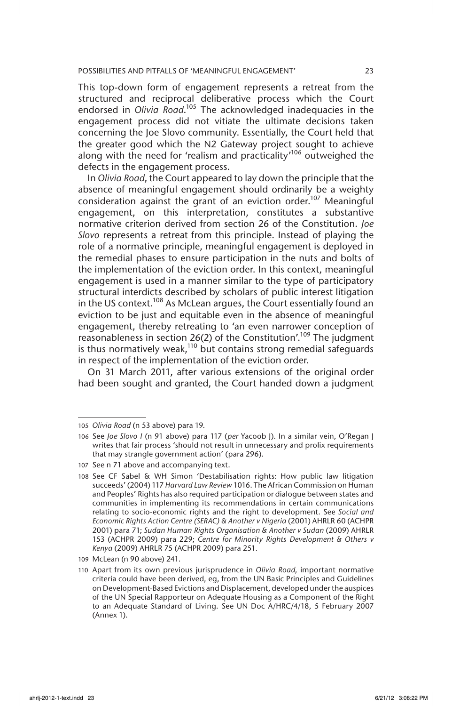This top-down form of engagement represents a retreat from the structured and reciprocal deliberative process which the Court endorsed in *Olivia Road*.<sup>105</sup> The acknowledged inadequacies in the engagement process did not vitiate the ultimate decisions taken concerning the Joe Slovo community. Essentially, the Court held that the greater good which the N2 Gateway project sought to achieve along with the need for 'realism and practicality'<sup>106</sup> outweighed the defects in the engagement process.

In *Olivia Road*, the Court appeared to lay down the principle that the absence of meaningful engagement should ordinarily be a weighty consideration against the grant of an eviction order.<sup>107</sup> Meaningful engagement, on this interpretation, constitutes a substantive normative criterion derived from section 26 of the Constitution. *Joe Slovo* represents a retreat from this principle. Instead of playing the role of a normative principle, meaningful engagement is deployed in the remedial phases to ensure participation in the nuts and bolts of the implementation of the eviction order. In this context, meaningful engagement is used in a manner similar to the type of participatory structural interdicts described by scholars of public interest litigation in the US context.<sup>108</sup> As McLean argues, the Court essentially found an eviction to be just and equitable even in the absence of meaningful engagement, thereby retreating to 'an even narrower conception of reasonableness in section 26(2) of the Constitution'.<sup>109</sup> The judgment is thus normatively weak,<sup>110</sup> but contains strong remedial safeguards in respect of the implementation of the eviction order.

On 31 March 2011, after various extensions of the original order had been sought and granted, the Court handed down a judgment

<sup>105</sup> *Olivia Road* (n 53 above) para 19.

<sup>106</sup> See *Joe Slovo I* (n 91 above) para 117 (*per* Yacoob J). In a similar vein, O'Regan J writes that fair process 'should not result in unnecessary and prolix requirements that may strangle government action' (para 296).

<sup>107</sup> See n 71 above and accompanying text.

<sup>108</sup> See CF Sabel & WH Simon 'Destabilisation rights: How public law litigation succeeds' (2004) 117 *Harvard Law Review* 1016. The African Commission on Human and Peoples' Rights has also required participation or dialogue between states and communities in implementing its recommendations in certain communications relating to socio-economic rights and the right to development. See *Social and Economic Rights Action Centre (SERAC) & Another v Nigeria* (2001) AHRLR 60 (ACHPR 2001) para 71; *Sudan Human Rights Organisation & Another v Sudan* (2009) AHRLR 153 (ACHPR 2009) para 229; *Centre for Minority Rights Development & Others v Kenya* (2009) AHRLR 75 (ACHPR 2009) para 251.

<sup>109</sup> McLean (n 90 above) 241.

<sup>110</sup> Apart from its own previous jurisprudence in *Olivia Road,* important normative criteria could have been derived, eg, from the UN Basic Principles and Guidelines on Development-Based Evictions and Displacement, developed under the auspices of the UN Special Rapporteur on Adequate Housing as a Component of the Right to an Adequate Standard of Living. See UN Doc A/HRC/4/18, 5 February 2007 (Annex 1).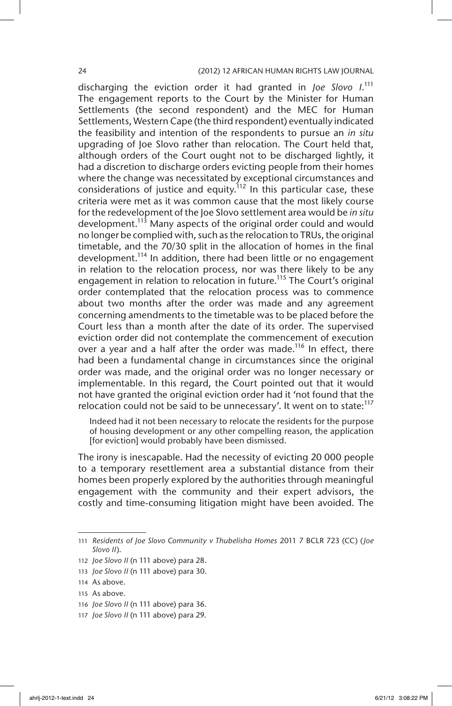discharging the eviction order it had granted in *Joe Slovo I*. 111 The engagement reports to the Court by the Minister for Human Settlements (the second respondent) and the MEC for Human Settlements, Western Cape (the third respondent) eventually indicated the feasibility and intention of the respondents to pursue an *in situ* upgrading of Joe Slovo rather than relocation. The Court held that, although orders of the Court ought not to be discharged lightly, it had a discretion to discharge orders evicting people from their homes where the change was necessitated by exceptional circumstances and considerations of justice and equity.<sup>112</sup> In this particular case, these criteria were met as it was common cause that the most likely course for the redevelopment of the Joe Slovo settlement area would be *in situ* development.<sup>113</sup> Many aspects of the original order could and would no longer be complied with, such as the relocation to TRUs, the original timetable, and the 70/30 split in the allocation of homes in the final development.<sup>114</sup> In addition, there had been little or no engagement in relation to the relocation process, nor was there likely to be any engagement in relation to relocation in future.<sup>115</sup> The Court's original order contemplated that the relocation process was to commence about two months after the order was made and any agreement concerning amendments to the timetable was to be placed before the Court less than a month after the date of its order. The supervised eviction order did not contemplate the commencement of execution over a year and a half after the order was made.<sup>116</sup> In effect, there had been a fundamental change in circumstances since the original order was made, and the original order was no longer necessary or implementable. In this regard, the Court pointed out that it would not have granted the original eviction order had it 'not found that the relocation could not be said to be unnecessary'. It went on to state:<sup>117</sup>

Indeed had it not been necessary to relocate the residents for the purpose of housing development or any other compelling reason, the application [for eviction] would probably have been dismissed.

The irony is inescapable. Had the necessity of evicting 20 000 people to a temporary resettlement area a substantial distance from their homes been properly explored by the authorities through meaningful engagement with the community and their expert advisors, the costly and time-consuming litigation might have been avoided. The

113 *Joe Slovo II* (n 111 above) para 30.

- 116 *Joe Slovo II* (n 111 above) para 36.
- 117 *Joe Slovo II* (n 111 above) para 29.

<sup>111</sup> *Residents of Joe Slovo Community v Thubelisha Homes* 2011 7 BCLR 723 (CC) (*Joe Slovo II*).

<sup>112</sup> *Joe Slovo II* (n 111 above) para 28.

<sup>114</sup> As above.

<sup>115</sup> As above.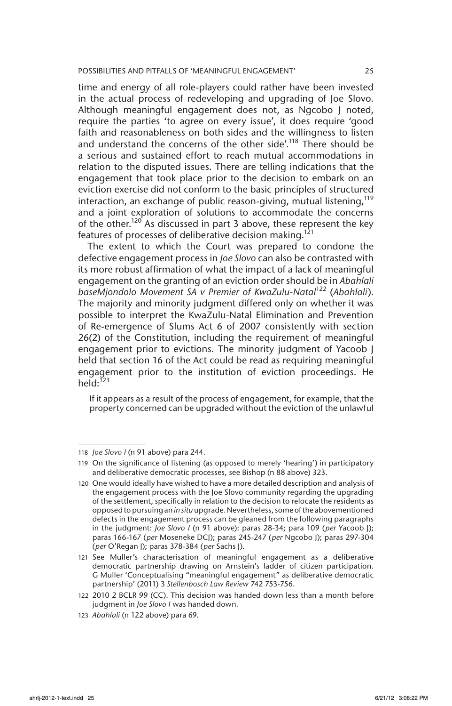time and energy of all role-players could rather have been invested in the actual process of redeveloping and upgrading of Joe Slovo. Although meaningful engagement does not, as Ngcobo J noted, require the parties 'to agree on every issue', it does require 'good faith and reasonableness on both sides and the willingness to listen and understand the concerns of the other side'.<sup>118</sup> There should be a serious and sustained effort to reach mutual accommodations in relation to the disputed issues. There are telling indications that the engagement that took place prior to the decision to embark on an eviction exercise did not conform to the basic principles of structured interaction, an exchange of public reason-giving, mutual listening,<sup>119</sup> and a joint exploration of solutions to accommodate the concerns of the other.<sup>120</sup> As discussed in part 3 above, these represent the key features of processes of deliberative decision making.<sup>121</sup>

The extent to which the Court was prepared to condone the defective engagement process in *Joe Slovo* can also be contrasted with its more robust affirmation of what the impact of a lack of meaningful engagement on the granting of an eviction order should be in *Abahlali baseMjondolo Movement SA v Premier of KwaZulu-Natal*122 (*Abahlali*). The majority and minority judgment differed only on whether it was possible to interpret the KwaZulu-Natal Elimination and Prevention of Re-emergence of Slums Act 6 of 2007 consistently with section 26(2) of the Constitution, including the requirement of meaningful engagement prior to evictions. The minority judgment of Yacoob J held that section 16 of the Act could be read as requiring meaningful engagement prior to the institution of eviction proceedings. He held: $123$ 

If it appears as a result of the process of engagement, for example, that the property concerned can be upgraded without the eviction of the unlawful

<sup>118</sup> *Joe Slovo I* (n 91 above) para 244.

<sup>119</sup> On the significance of listening (as opposed to merely 'hearing') in participatory and deliberative democratic processes, see Bishop (n 88 above) 323.

<sup>120</sup> One would ideally have wished to have a more detailed description and analysis of the engagement process with the Joe Slovo community regarding the upgrading of the settlement, specifically in relation to the decision to relocate the residents as opposed to pursuing an *in situ* upgrade. Nevertheless, some of the abovementioned defects in the engagement process can be gleaned from the following paragraphs in the judgment: *Joe Slovo I* (n 91 above): paras 28-34; para 109 (*per* Yacoob J); paras 166-167 (*per* Moseneke DCJ); paras 245-247 (*per* Ngcobo J); paras 297-304 (*per* O'Regan J); paras 378-384 (*per* Sachs J).

<sup>121</sup> See Muller's characterisation of meaningful engagement as a deliberative democratic partnership drawing on Arnstein's ladder of citizen participation. G Muller 'Conceptualising "meaningful engagement" as deliberative democratic partnership' (2011) 3 *Stellenbosch Law Review* 742 753-756.

<sup>122</sup> 2010 2 BCLR 99 (CC). This decision was handed down less than a month before judgment in *Joe Slovo I* was handed down*.*

<sup>123</sup> *Abahlali* (n 122 above) para 69.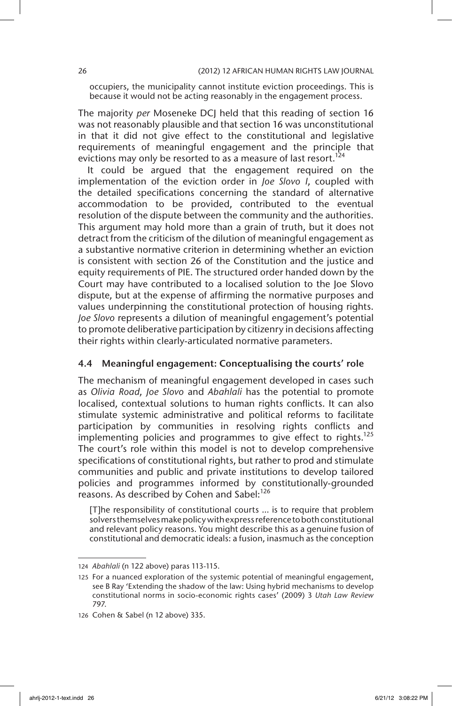occupiers, the municipality cannot institute eviction proceedings. This is because it would not be acting reasonably in the engagement process.

The majority *per* Moseneke DCJ held that this reading of section 16 was not reasonably plausible and that section 16 was unconstitutional in that it did not give effect to the constitutional and legislative requirements of meaningful engagement and the principle that evictions may only be resorted to as a measure of last resort.<sup>124</sup>

It could be argued that the engagement required on the implementation of the eviction order in *Joe Slovo I*, coupled with the detailed specifications concerning the standard of alternative accommodation to be provided, contributed to the eventual resolution of the dispute between the community and the authorities. This argument may hold more than a grain of truth, but it does not detract from the criticism of the dilution of meaningful engagement as a substantive normative criterion in determining whether an eviction is consistent with section 26 of the Constitution and the justice and equity requirements of PIE. The structured order handed down by the Court may have contributed to a localised solution to the Joe Slovo dispute, but at the expense of affirming the normative purposes and values underpinning the constitutional protection of housing rights. *Joe Slovo* represents a dilution of meaningful engagement's potential to promote deliberative participation by citizenry in decisions affecting their rights within clearly-articulated normative parameters.

# 4.4 Meaningful engagement: Conceptualising the courts' role

The mechanism of meaningful engagement developed in cases such as *Olivia Road*, *Joe Slovo* and *Abahlali* has the potential to promote localised, contextual solutions to human rights conflicts. It can also stimulate systemic administrative and political reforms to facilitate participation by communities in resolving rights conflicts and implementing policies and programmes to give effect to rights.<sup>125</sup> The court's role within this model is not to develop comprehensive specifications of constitutional rights, but rather to prod and stimulate communities and public and private institutions to develop tailored policies and programmes informed by constitutionally-grounded reasons. As described by Cohen and Sabel:<sup>126</sup>

[T]he responsibility of constitutional courts … is to require that problem solvers themselves make policy with express reference to both constitutional and relevant policy reasons. You might describe this as a genuine fusion of constitutional and democratic ideals: a fusion, inasmuch as the conception

<sup>124</sup> *Abahlali* (n 122 above) paras 113-115.

<sup>125</sup> For a nuanced exploration of the systemic potential of meaningful engagement, see B Ray 'Extending the shadow of the law: Using hybrid mechanisms to develop constitutional norms in socio-economic rights cases' (2009) 3 *Utah Law Review*  797.

<sup>126</sup> Cohen & Sabel (n 12 above) 335.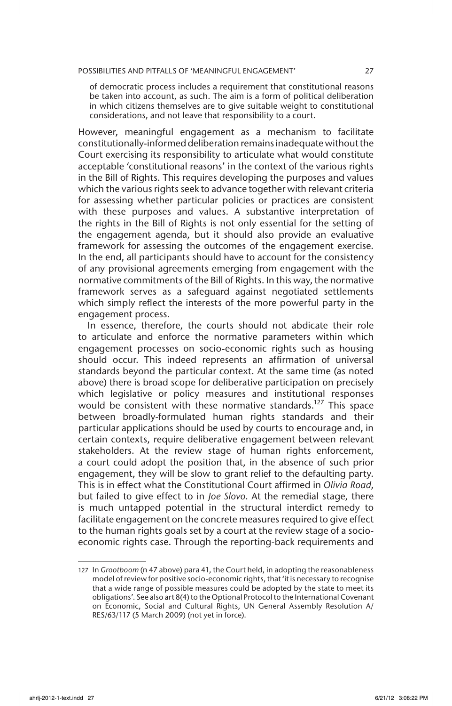of democratic process includes a requirement that constitutional reasons be taken into account, as such. The aim is a form of political deliberation in which citizens themselves are to give suitable weight to constitutional considerations, and not leave that responsibility to a court.

However, meaningful engagement as a mechanism to facilitate constitutionally-informed deliberation remains inadequate without the Court exercising its responsibility to articulate what would constitute acceptable 'constitutional reasons' in the context of the various rights in the Bill of Rights. This requires developing the purposes and values which the various rights seek to advance together with relevant criteria for assessing whether particular policies or practices are consistent with these purposes and values. A substantive interpretation of the rights in the Bill of Rights is not only essential for the setting of the engagement agenda, but it should also provide an evaluative framework for assessing the outcomes of the engagement exercise. In the end, all participants should have to account for the consistency of any provisional agreements emerging from engagement with the normative commitments of the Bill of Rights. In this way, the normative framework serves as a safeguard against negotiated settlements which simply reflect the interests of the more powerful party in the engagement process.

In essence, therefore, the courts should not abdicate their role to articulate and enforce the normative parameters within which engagement processes on socio-economic rights such as housing should occur. This indeed represents an affirmation of universal standards beyond the particular context. At the same time (as noted above) there is broad scope for deliberative participation on precisely which legislative or policy measures and institutional responses would be consistent with these normative standards.<sup>127</sup> This space between broadly-formulated human rights standards and their particular applications should be used by courts to encourage and, in certain contexts, require deliberative engagement between relevant stakeholders. At the review stage of human rights enforcement, a court could adopt the position that, in the absence of such prior engagement, they will be slow to grant relief to the defaulting party. This is in effect what the Constitutional Court affirmed in *Olivia Road*, but failed to give effect to in *Joe Slovo*. At the remedial stage, there is much untapped potential in the structural interdict remedy to facilitate engagement on the concrete measures required to give effect to the human rights goals set by a court at the review stage of a socioeconomic rights case. Through the reporting-back requirements and

<sup>127</sup> In *Grootboom* (n 47 above) para 41, the Court held, in adopting the reasonableness model of review for positive socio-economic rights, that 'it is necessary to recognise that a wide range of possible measures could be adopted by the state to meet its obligations'. See also art 8(4) to the Optional Protocol to the International Covenant on Economic, Social and Cultural Rights, UN General Assembly Resolution A/ RES/63/117 (5 March 2009) (not yet in force).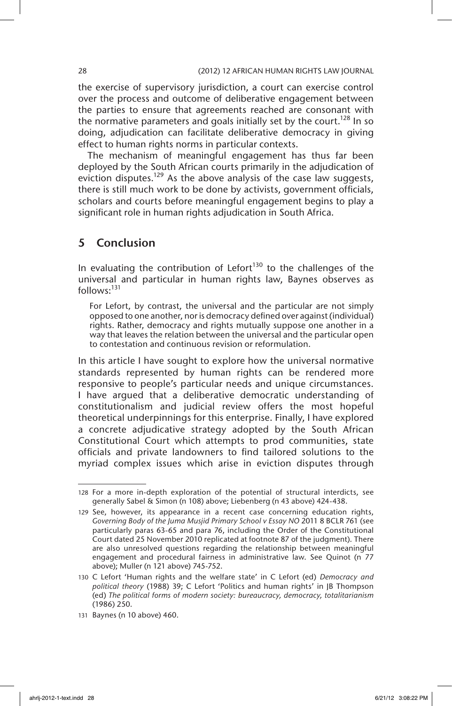the exercise of supervisory jurisdiction, a court can exercise control over the process and outcome of deliberative engagement between the parties to ensure that agreements reached are consonant with the normative parameters and goals initially set by the court.<sup>128</sup> In so doing, adjudication can facilitate deliberative democracy in giving effect to human rights norms in particular contexts.

The mechanism of meaningful engagement has thus far been deployed by the South African courts primarily in the adjudication of eviction disputes.<sup>129</sup> As the above analysis of the case law suggests, there is still much work to be done by activists, government officials, scholars and courts before meaningful engagement begins to play a significant role in human rights adjudication in South Africa.

# 5 Conclusion

In evaluating the contribution of Lefort<sup>130</sup> to the challenges of the universal and particular in human rights law, Baynes observes as follows:<sup>131</sup>

For Lefort, by contrast, the universal and the particular are not simply opposed to one another, nor is democracy defined over against (individual) rights. Rather, democracy and rights mutually suppose one another in a way that leaves the relation between the universal and the particular open to contestation and continuous revision or reformulation.

In this article I have sought to explore how the universal normative standards represented by human rights can be rendered more responsive to people's particular needs and unique circumstances. I have argued that a deliberative democratic understanding of constitutionalism and judicial review offers the most hopeful theoretical underpinnings for this enterprise. Finally, I have explored a concrete adjudicative strategy adopted by the South African Constitutional Court which attempts to prod communities, state officials and private landowners to find tailored solutions to the myriad complex issues which arise in eviction disputes through

<sup>128</sup> For a more in-depth exploration of the potential of structural interdicts, see generally Sabel & Simon (n 108) above; Liebenberg (n 43 above) 424-438.

<sup>129</sup> See, however, its appearance in a recent case concerning education rights, *Governing Body of the Juma Musjid Primary School v Essay NO* 2011 8 BCLR 761 (see particularly paras 63-65 and para 76, including the Order of the Constitutional Court dated 25 November 2010 replicated at footnote 87 of the judgment). There are also unresolved questions regarding the relationship between meaningful engagement and procedural fairness in administrative law. See Quinot (n 77 above); Muller (n 121 above) 745-752.

<sup>130</sup> C Lefort 'Human rights and the welfare state' in C Lefort (ed) *Democracy and political theory* (1988) 39; C Lefort 'Politics and human rights' in JB Thompson (ed) *The political forms of modern society: bureaucracy, democracy, totalitarianism* (1986) 250.

<sup>131</sup> Baynes (n 10 above) 460.